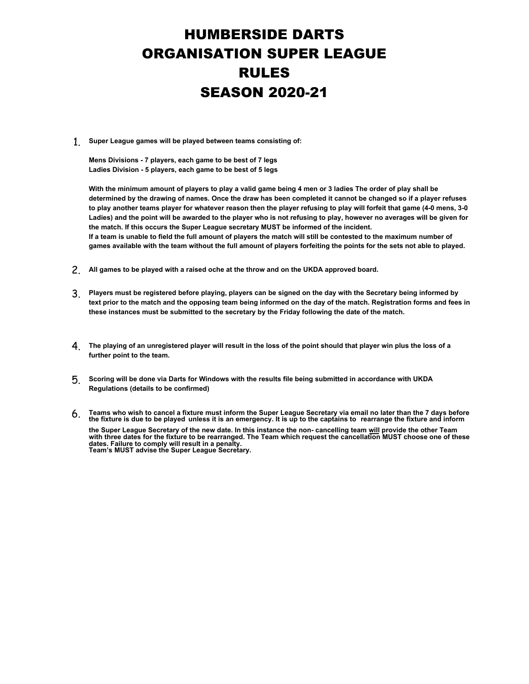## HUMBERSIDE DARTS ORGANISATION SUPER LEAGUE RULES SEASON 2020-21

1. **Super League games will be played between teams consisting of:**

**Mens Divisions - 7 players, each game to be best of 7 legs Ladies Division - 5 players, each game to be best of 5 legs**

**With the minimum amount of players to play a valid game being 4 men or 3 ladies The order of play shall be determined by the drawing of names. Once the draw has been completed it cannot be changed so if a player refuses to play another teams player for whatever reason then the player refusing to play will forfeit that game (4-0 mens, 3-0 Ladies) and the point will be awarded to the player who is not refusing to play, however no averages will be given for the match. If this occurs the Super League secretary MUST be informed of the incident. If a team is unable to field the full amount of players the match will still be contested to the maximum number of games available with the team without the full amount of players forfeiting the points for the sets not able to played.**

- 2. **All games to be played with a raised oche at the throw and on the UKDA approved board.**
- 3. **Players must be registered before playing, players can be signed on the day with the Secretary being informed by text prior to the match and the opposing team being informed on the day of the match. Registration forms and fees in these instances must be submitted to the secretary by the Friday following the date of the match.**
- 4. **The playing of an unregistered player will result in the loss of the point should that player win plus the loss of a further point to the team.**
- 5. **Scoring will be done via Darts for Windows with the results file being submitted in accordance with UKDA Regulations (details to be confirmed)**
- 6. **Teams who wish to cancel a fixture must inform the Super League Secretary via email no later than the 7 days before the fixture is due to be played unless it is an emergency. It is up to the captains to rearrange the fixture and inform the Super League Secretary of the new date. In this instance the non- cancelling team will provide the other Team with three dates for the fixture to be rearranged. The Team which request the cancellation MUST choose one of these dates. Failure to comply will result in a penalty. Team's MUST advise the Super League Secretary.**